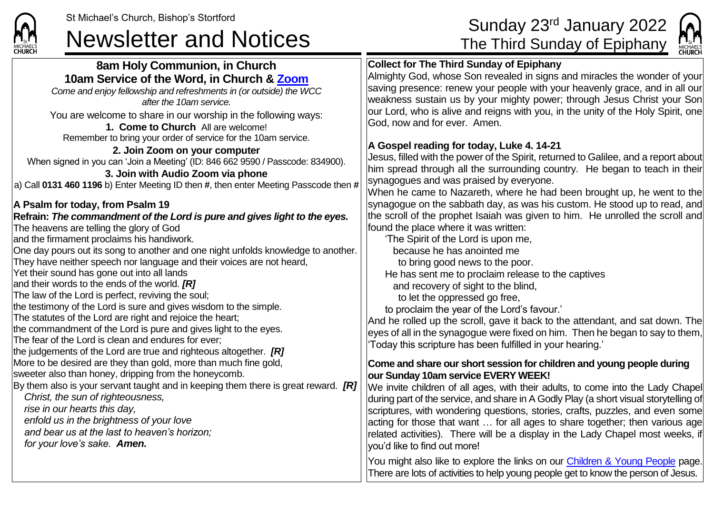## St Michael's Church, Bishop's Stortford Sunday 23<sup>rd</sup> January 2022<br> **Newsletter and Notices** The Third Sunday of Epiphany



| сниксн                                                                                                                                                                                                                                                                                                                                                                                                                                                                                                                                                                                                                                                                                                                                                                                                                                                                                                                                                                                                                                                                                                                                                                                                                                                                                                                                                                                                                                                                                                                                                                                                                                                                                                                              | <b>CHURCH</b>                                                                                                                                                                                                                                                                                                                                                                                                                                                                                                                                                                                                                                                                                                                                                                                                                                                                                                                                                                                                                                                                                                                                                                                                                                                                                                                                                                                                                                                                                                                                                                                                                                                                   |
|-------------------------------------------------------------------------------------------------------------------------------------------------------------------------------------------------------------------------------------------------------------------------------------------------------------------------------------------------------------------------------------------------------------------------------------------------------------------------------------------------------------------------------------------------------------------------------------------------------------------------------------------------------------------------------------------------------------------------------------------------------------------------------------------------------------------------------------------------------------------------------------------------------------------------------------------------------------------------------------------------------------------------------------------------------------------------------------------------------------------------------------------------------------------------------------------------------------------------------------------------------------------------------------------------------------------------------------------------------------------------------------------------------------------------------------------------------------------------------------------------------------------------------------------------------------------------------------------------------------------------------------------------------------------------------------------------------------------------------------|---------------------------------------------------------------------------------------------------------------------------------------------------------------------------------------------------------------------------------------------------------------------------------------------------------------------------------------------------------------------------------------------------------------------------------------------------------------------------------------------------------------------------------------------------------------------------------------------------------------------------------------------------------------------------------------------------------------------------------------------------------------------------------------------------------------------------------------------------------------------------------------------------------------------------------------------------------------------------------------------------------------------------------------------------------------------------------------------------------------------------------------------------------------------------------------------------------------------------------------------------------------------------------------------------------------------------------------------------------------------------------------------------------------------------------------------------------------------------------------------------------------------------------------------------------------------------------------------------------------------------------------------------------------------------------|
| 8am Holy Communion, in Church<br>10am Service of the Word, in Church & Zoom<br>Come and enjoy fellowship and refreshments in (or outside) the WCC<br>after the 10am service.<br>You are welcome to share in our worship in the following ways:<br>1. Come to Church All are welcome!<br>Remember to bring your order of service for the 10am service.<br>2. Join Zoom on your computer<br>When signed in you can 'Join a Meeting' (ID: 846 662 9590 / Passcode: 834900).<br>3. Join with Audio Zoom via phone<br>a) Call 0131 460 1196 b) Enter Meeting ID then #, then enter Meeting Passcode then #<br>A Psalm for today, from Psalm 19<br>Refrain: The commandment of the Lord is pure and gives light to the eyes.<br>The heavens are telling the glory of God<br>and the firmament proclaims his handiwork.<br>One day pours out its song to another and one night unfolds knowledge to another.<br>They have neither speech nor language and their voices are not heard,<br>Yet their sound has gone out into all lands<br>and their words to the ends of the world. [R]<br>The law of the Lord is perfect, reviving the soul;<br>the testimony of the Lord is sure and gives wisdom to the simple.<br>The statutes of the Lord are right and rejoice the heart;<br>the commandment of the Lord is pure and gives light to the eyes.<br>The fear of the Lord is clean and endures for ever;<br>the judgements of the Lord are true and righteous altogether. $[R]$<br>More to be desired are they than gold, more than much fine gold,<br>sweeter also than honey, dripping from the honeycomb.<br>By them also is your servant taught and in keeping them there is great reward. $[RI]$<br>Christ, the sun of righteousness, | <b>Collect for The Third Sunday of Epiphany</b><br>Almighty God, whose Son revealed in signs and miracles the wonder of your<br>saving presence: renew your people with your heavenly grace, and in all our<br>weakness sustain us by your mighty power; through Jesus Christ your Son<br>our Lord, who is alive and reigns with you, in the unity of the Holy Spirit, one<br>God, now and for ever. Amen.<br>A Gospel reading for today, Luke 4. 14-21<br>Jesus, filled with the power of the Spirit, returned to Galilee, and a report about<br>him spread through all the surrounding country. He began to teach in their<br>synagogues and was praised by everyone.<br>When he came to Nazareth, where he had been brought up, he went to the<br>synagogue on the sabbath day, as was his custom. He stood up to read, and<br>the scroll of the prophet Isaiah was given to him. He unrolled the scroll and<br>found the place where it was written:<br>'The Spirit of the Lord is upon me,<br>because he has anointed me<br>to bring good news to the poor.<br>He has sent me to proclaim release to the captives<br>and recovery of sight to the blind,<br>to let the oppressed go free,<br>to proclaim the year of the Lord's favour.'<br>And he rolled up the scroll, gave it back to the attendant, and sat down. The<br>eyes of all in the synagogue were fixed on him. Then he began to say to them,<br>Today this scripture has been fulfilled in your hearing.'<br>Come and share our short session for children and young people during<br>our Sunday 10am service EVERY WEEK!<br>We invite children of all ages, with their adults, to come into the Lady Chapel |
| rise in our hearts this day,<br>enfold us in the brightness of your love<br>and bear us at the last to heaven's horizon;<br>for your love's sake. Amen.                                                                                                                                                                                                                                                                                                                                                                                                                                                                                                                                                                                                                                                                                                                                                                                                                                                                                                                                                                                                                                                                                                                                                                                                                                                                                                                                                                                                                                                                                                                                                                             | during part of the service, and share in A Godly Play (a short visual storytelling of<br>scriptures, with wondering questions, stories, crafts, puzzles, and even some<br>acting for those that want  for all ages to share together; then various age<br>related activities). There will be a display in the Lady Chapel most weeks, if<br>you'd like to find out more!                                                                                                                                                                                                                                                                                                                                                                                                                                                                                                                                                                                                                                                                                                                                                                                                                                                                                                                                                                                                                                                                                                                                                                                                                                                                                                        |
|                                                                                                                                                                                                                                                                                                                                                                                                                                                                                                                                                                                                                                                                                                                                                                                                                                                                                                                                                                                                                                                                                                                                                                                                                                                                                                                                                                                                                                                                                                                                                                                                                                                                                                                                     | You might also like to explore the links on our <b>Children &amp; Young People</b> page.<br>There are lots of activities to help young people get to know the person of Jesus.                                                                                                                                                                                                                                                                                                                                                                                                                                                                                                                                                                                                                                                                                                                                                                                                                                                                                                                                                                                                                                                                                                                                                                                                                                                                                                                                                                                                                                                                                                  |